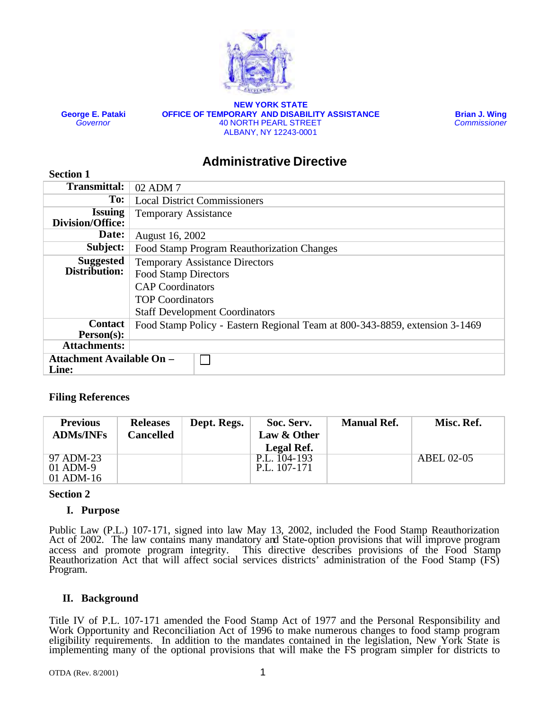

**George E. Pataki** *Governor*

**Section 1**

**NEW YORK STATE OFFICE OF TEMPORARY AND DISABILITY ASSISTANCE** 40 NORTH PEARL STREET ALBANY, NY 12243-0001

**Brian J. Wing** *Commissioner*

# **Administrative Directive**

| <b>Transmittal:</b>              | 02 ADM 7                                                                    |  |  |  |
|----------------------------------|-----------------------------------------------------------------------------|--|--|--|
| To:                              | <b>Local District Commissioners</b>                                         |  |  |  |
| <b>Issuing</b>                   | <b>Temporary Assistance</b>                                                 |  |  |  |
| <b>Division/Office:</b>          |                                                                             |  |  |  |
| Date:                            | August 16, 2002                                                             |  |  |  |
| Subject:                         | Food Stamp Program Reauthorization Changes                                  |  |  |  |
| <b>Suggested</b>                 | <b>Temporary Assistance Directors</b>                                       |  |  |  |
| Distribution:                    | <b>Food Stamp Directors</b>                                                 |  |  |  |
|                                  | <b>CAP</b> Coordinators                                                     |  |  |  |
|                                  | <b>TOP Coordinators</b>                                                     |  |  |  |
|                                  | <b>Staff Development Coordinators</b>                                       |  |  |  |
| <b>Contact</b>                   | Food Stamp Policy - Eastern Regional Team at 800-343-8859, extension 3-1469 |  |  |  |
| $Person(s)$ :                    |                                                                             |  |  |  |
| <b>Attachments:</b>              |                                                                             |  |  |  |
| <b>Attachment Available On -</b> |                                                                             |  |  |  |
| Line:                            |                                                                             |  |  |  |

# **Filing References**

| <b>Previous</b><br><b>ADMs/INFs</b>    | <b>Releases</b><br><b>Cancelled</b> | Dept. Regs. | Soc. Serv.<br>Law & Other<br>Legal Ref. | <b>Manual Ref.</b> | Misc. Ref.        |
|----------------------------------------|-------------------------------------|-------------|-----------------------------------------|--------------------|-------------------|
| 97 ADM-23<br>$01$ ADM-9<br>$01$ ADM-16 |                                     |             | P.L. 104-193<br>P.L. 107-171            |                    | <b>ABEL 02-05</b> |

### **Section 2**

# **I. Purpose**

Public Law (P.L.) 107-171, signed into law May 13, 2002, included the Food Stamp Reauthorization Act of 2002. The law contains many mandatory and State-option provisions that will improve program access and promote program integrity. This directive describes provisions of the Food Stamp Reauthorization Act that will affect social services districts' administration of the Food Stamp (FS) Program.

# **II. Background**

Title IV of P.L. 107-171 amended the Food Stamp Act of 1977 and the Personal Responsibility and Work Opportunity and Reconciliation Act of 1996 to make numerous changes to food stamp program eligibility requirements. In addition to the mandates contained in the legislation, New York State is implementing many of the optional provisions that will make the FS program simpler for districts to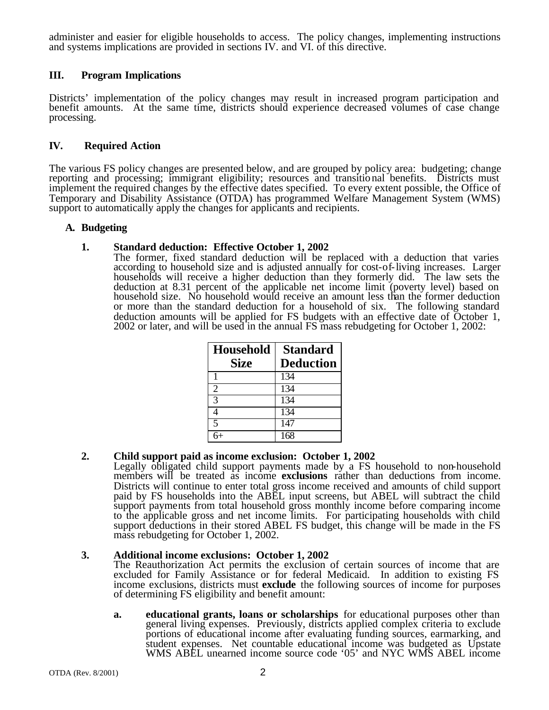administer and easier for eligible households to access. The policy changes, implementing instructions and systems implications are provided in sections IV. and VI. of this directive.

# **III. Program Implications**

Districts' implementation of the policy changes may result in increased program participation and benefit amounts. At the same time, districts should experience decreased volumes of case change processing.

### **IV. Required Action**

The various FS policy changes are presented below, and are grouped by policy area: budgeting; change reporting and processing; immigrant eligibility; resources and transitional benefits. Districts must implement the required changes by the effective dates specified. To every extent possible, the Office of Temporary and Disability Assistance (OTDA) has programmed Welfare Management System (WMS) support to automatically apply the changes for applicants and recipients.

### **A. Budgeting**

### **1. Standard deduction: Effective October 1, 2002**

The former, fixed standard deduction will be replaced with a deduction that varies according to household size and is adjusted annually for cost-of-living increases. Larger households will receive a higher deduction than they formerly did. The law sets the deduction at 8.31 percent of the applicable net income limit (poverty level) based on household size. No household would receive an amount less than the former deduction or more than the standard deduction for a household of six. The following standard deduction amounts will be applied for FS budgets with an effective date of October 1, 2002 or later, and will be used in the annual FS mass rebudgeting for October 1, 2002:

| <b>Household</b> | <b>Standard</b>  |
|------------------|------------------|
| <b>Size</b>      | <b>Deduction</b> |
|                  | 134              |
| 2                | $\overline{1}34$ |
| 3                | $\overline{1}34$ |
|                  | 134              |
| 5                | 147              |
|                  | 168              |

# **2. Child support paid as income exclusion: October 1, 2002**

Legally obligated child support payments made by a FS household to non-household members will be treated as income **exclusions** rather than deductions from income. Districts will continue to enter total gross income received and amounts of child support paid by FS households into the ABEL input screens, but ABEL will subtract the child support payments from total household gross monthly income before comparing income to the applicable gross and net income limits. For participating households with child support deductions in their stored ABEL FS budget, this change will be made in the FS mass rebudgeting for October 1, 2002.

### **3. Additional income exclusions: October 1, 2002**

The Reauthorization Act permits the exclusion of certain sources of income that are excluded for Family Assistance or for federal Medicaid. In addition to existing FS income exclusions, districts must **exclude** the following sources of income for purposes of determining FS eligibility and benefit amount:

**a. educational grants, loans or scholarships** for educational purposes other than general living expenses. Previously, districts applied complex criteria to exclude portions of educational income after evaluating funding sources, earmarking, and student expenses. Net countable educational income was budgeted as Upstate WMS ABEL unearned income source code '05' and NYC WMS ABEL income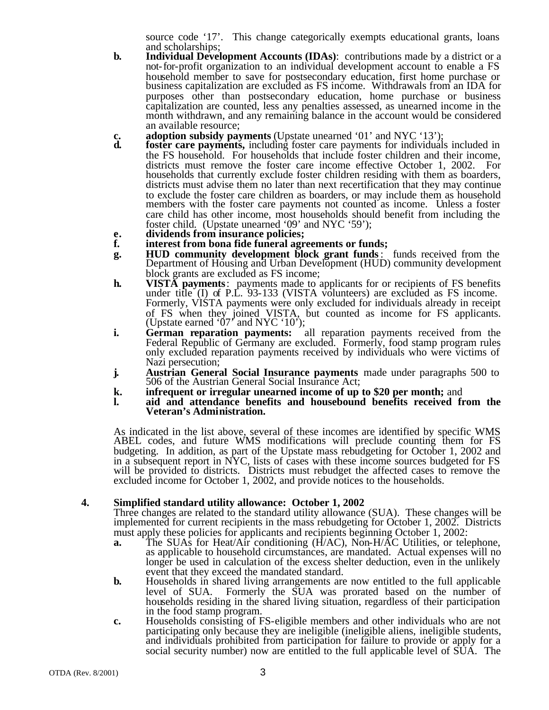source code '17'. This change categorically exempts educational grants, loans and scholarships;

- **b. Individual Development Accounts (IDAs)**: contributions made by a district or a not-for-profit organization to an individual development account to enable a FS household member to save for postsecondary education, first home purchase or business capitalization are excluded as FS income. Withdrawals from an IDA for purposes other than postsecondary education, home purchase or business capitalization are counted, less any penalties assessed, as unearned income in the month withdrawn, and any remaining balance in the account would be considered an available resource;
- **c. adoption subsidy payments** (Upstate unearned '01' and NYC '13');<br>**d. foster care payments**, including foster care payments for individual
- **foster care payments,** including foster care payments for individuals included in the FS household. For households that include foster children and their income, districts must remove the foster care income effective October 1, 2002. For households that currently exclude foster children residing with them as boarders, districts must advise them no later than next recertification that they may continue to exclude the foster care children as boarders, or may include them as household members with the foster care payments not counted as income. Unless a foster care child has other income, most households should benefit from including the foster child. (Upstate unearned '09' and NYC '59');
- **e. dividends from insurance policies;**
- **f. interest from bona fide funeral agreements or funds;**
- **g. HUD community development block grant funds**: funds received from the Department of Housing and Urban Development (HUD) community development block grants are excluded as FS income;
- **h. VISTA payments**: payments made to applicants for or recipients of FS benefits under title  $(I)$  of P.L. 93-133 (VISTA volunteers) are excluded as FS income. Formerly, VISTA payments were only excluded for individuals already in receipt of FS when they joined VISTA, but counted as income for FS applicants. (Upstate earned ' $07'$  and NYC '10');
- **i. German reparation payments:** all reparation payments received from the Federal Republic of Germany are excluded. Formerly, food stamp program rules only excluded reparation payments received by individuals who were victims of Nazi persecution;
- **j. Austrian General Social Insurance payments** made under paragraphs 500 to 506 of the Austrian General Social Insurance Act;
- **k. infrequent or irregular unearned income of up to \$20 per month;** and
- **l. aid and attendance benefits and housebound benefits received from the Veteran's Administration.**

As indicated in the list above, several of these incomes are identified by specific WMS ABEL codes, and future WMS modifications will preclude counting them for FS budgeting. In addition, as part of the Upstate mass rebudgeting for October 1, 2002 and in a subsequent report in NYC, lists of cases with these income sources budgeted for FS will be provided to districts. Districts must rebudget the affected cases to remove the excluded income for October 1, 2002, and provide notices to the households.

### **4. Simplified standard utility allowance: October 1, 2002**

Three changes are related to the standard utility allowance (SUA). These changes will be implemented for current recipients in the mass rebudgeting for October 1, 2002. Districts must apply these policies for applicants and recipients beginning October 1, 2002:

- **a.** The SUAs for Heat/Air conditioning (H/AC), Non-H/AC Utilities, or telephone, as applicable to household circumstances, are mandated. Actual expenses will no longer be used in calculation of the excess shelter deduction, even in the unlikely event that they exceed the mandated standard.
- **b.** Households in shared living arrangements are now entitled to the full applicable level of SUA. Formerly the SUA was prorated based on the number of Formerly the SUA was prorated based on the number of households residing in the shared living situation, regardless of their participation in the food stamp program.
- **c.** Households consisting of FS-eligible members and other individuals who are not participating only because they are ineligible (ineligible aliens, ineligible students, and individuals prohibited from participation for failure to provide or apply for a social security number) now are entitled to the full applicable level of SUA. The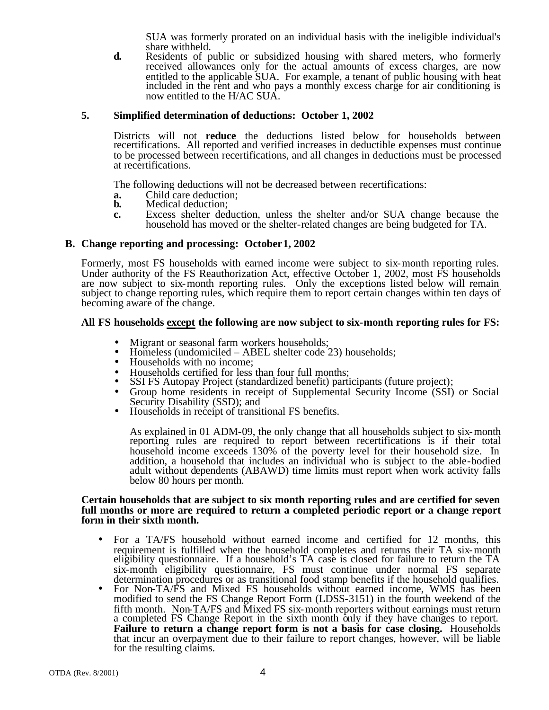SUA was formerly prorated on an individual basis with the ineligible individual's share withheld.

**d.** Residents of public or subsidized housing with shared meters, who formerly received allowances only for the actual amounts of excess charges, are now entitled to the applicable SUA. For example, a tenant of public housing with heat included in the rent and who pays a monthly excess charge for air conditioning is now entitled to the H/AC SUA.

### **5. Simplified determination of deductions: October 1, 2002**

Districts will not **reduce** the deductions listed below for households between recertifications. All reported and verified increases in deductible expenses must continue to be processed between recertifications, and all changes in deductions must be processed at recertifications.

The following deductions will not be decreased between recertifications:

- **a.** Child care deduction;<br>**b.** Medical deduction:
- **b.** Medical deduction;
- **c.** Excess shelter deduction, unless the shelter and/or SUA change because the household has moved or the shelter-related changes are being budgeted for TA.

### **B. Change reporting and processing: October 1, 2002**

Formerly, most FS households with earned income were subject to six-month reporting rules. Under authority of the FS Reauthorization Act, effective October 1, 2002, most FS households are now subject to six-month reporting rules. Only the exceptions listed below will remain subject to change reporting rules, which require them to report certain changes within ten days of becoming aware of the change.

### **All FS households except the following are now subject to six-month reporting rules for FS:**

- Migrant or seasonal farm workers households;<br>• Homeless (undomiciled ABEL shelter code 2
- Homeless (undomiciled ABEL shelter code 23) households;
- Households with no income:
- Households certified for less than four full months;
- SSI FS Autopay Project (standardized benefit) participants (future project);
- Group home residents in receipt of Supplemental Security Income (SSI) or Social Security Disability (SSD); and
- Households in receipt of transitional FS benefits.

As explained in 01 ADM-09, the only change that all households subject to six-month reporting rules are required to report between recertifications is if their total household income exceeds 130% of the poverty level for their household size. In addition, a household that includes an individual who is subject to the able-bodied adult without dependents (ABAWD) time limits must report when work activity falls below 80 hours per month.

#### **Certain households that are subject to six month reporting rules and are certified for seven full months or more are required to return a completed periodic report or a change report form in their sixth month.**

- For a TA/FS household without earned income and certified for 12 months, this requirement is fulfilled when the household completes and returns their TA six-month eligibility questionnaire. If a household's TA case is closed for failure to return the TA six-month eligibility questionnaire, FS must continue under normal FS separate determination procedures or as transitional food stamp benefits if the household qualifies.
- For Non-TA/FS and Mixed FS households without earned income, WMS has been modified to send the FS Change Report Form (LDSS-3151) in the fourth weekend of the fifth month. Non-TA/FS and Mixed FS six-month reporters without earnings must return a completed FS Change Report in the sixth month only if they have changes to report. **Failure to return a change report form is not a basis for case closing.** Households that incur an overpayment due to their failure to report changes, however, will be liable for the resulting claims.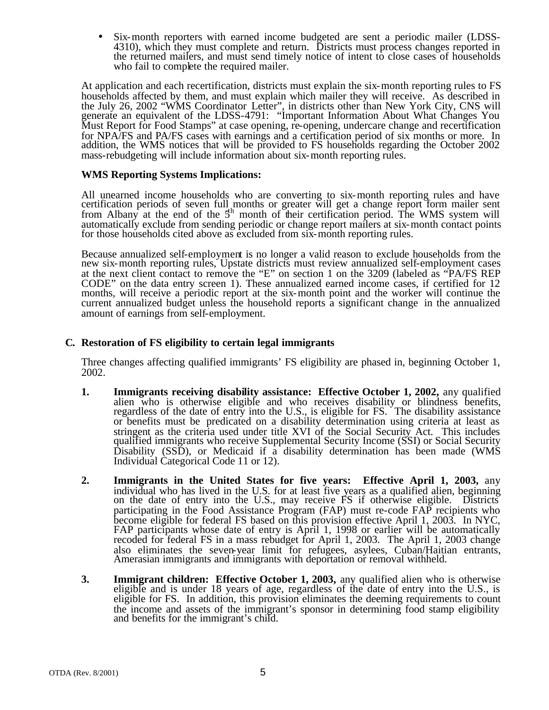Six-month reporters with earned income budgeted are sent a periodic mailer (LDSS-4310), which they must complete and return. Districts must process changes reported in the returned mailers, and must send timely notice of intent to close cases of households who fail to complete the required mailer.

At application and each recertification, districts must explain the six-month reporting rules to FS households affected by them, and must explain which mailer they will receive. As described in the July 26, 2002 "WMS Coordinator Letter", in districts other than New York City, CNS will generate an equivalent of the LDSS-4791: "Important Information About What Changes You Must Report for Food Stamps" at case opening, re-opening, undercare change and recertification for NPA/FS and PA/FS cases with earnings and a certification period of six months or more. In addition, the WMS notices that will be provided to FS households regarding the October 2002 mass-rebudgeting will include information about six-month reporting rules.

### **WMS Reporting Systems Implications:**

All unearned income households who are converting to six-month reporting rules and have certification periods of seven full months or greater will get a change report form mailer sent from Albany at the end of the  $5<sup>th</sup>$  month of their certification period. The WMS system will automatically exclude from sending periodic or change report mailers at six-month contact points for those households cited above as excluded from six-month reporting rules.

Because annualized self-employment is no longer a valid reason to exclude households from the new six-month reporting rules, Upstate districts must review annualized self-employment cases at the next client contact to remove the "E" on section 1 on the 3209 (labeled as "PA/FS REP CODE" on the data entry screen 1). These annualized earned income cases, if certified for 12 months, will receive a periodic report at the six-month point and the worker will continue the current annualized budget unless the household reports a significant change in the annualized amount of earnings from self-employment.

# **C. Restoration of FS eligibility to certain legal immigrants**

Three changes affecting qualified immigrants' FS eligibility are phased in, beginning October 1, 2002.

- **1. Immigrants receiving disability assistance: Effective October 1, 2002,** any qualified alien who is otherwise eligible and who receives disability or blindness benefits, regardless of the date of entry into the U.S., is eligible for FS. The disability assistance or benefits must be predicated on a disability determination using criteria at least as stringent as the criteria used under title XVI of the Social Security Act. This includes qualified immigrants who receive Supplemental Security Income (SSI) or Social Security Disability (SSD), or Medicaid if a disability determination has been made (WMS Individual Categorical Code 11 or 12).
- **2. Immigrants in the United States for five years: Effective April 1, 2003,** any individual who has lived in the U.S. for at least five years as a qualified alien, beginning on the date of entry into the U.S., may receive FS if otherwise eligible. Districts participating in the Food Assistance Program (FAP) must re-code FAP recipients who become eligible for federal FS based on this provision effective April 1, 2003. In NYC, FAP participants whose date of entry is April 1, 1998 or earlier will be automatically recoded for federal FS in a mass rebudget for April 1, 2003. The April 1, 2003 change also eliminates the seven-year limit for refugees, asylees, Cuban/Haitian entrants, Amerasian immigrants and immigrants with deportation or removal withheld.
- **3.** Immigrant children: Effective October 1, 2003, any qualified alien who is otherwise eligible and is under 18 years of age, regardless of the date of entry into the U.S., is eligible for FS. In addition, this provision eliminates the deeming requirements to count the income and assets of the immigrant's sponsor in determining food stamp eligibility and benefits for the immigrant's child.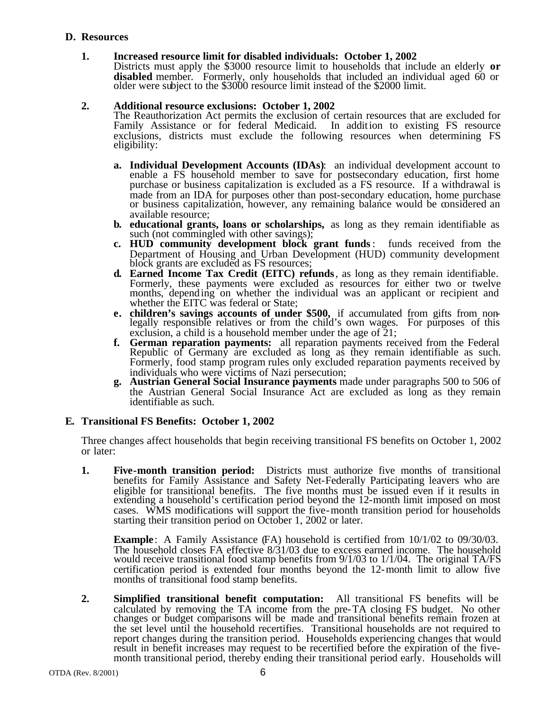### **D. Resources**

### **1. Increased resource limit for disabled individuals: October 1, 2002**

Districts must apply the \$3000 resource limit to households that include an elderly **or disabled** member. Formerly, only households that included an individual aged 60 or older were subject to the \$3000 resource limit instead of the \$2000 limit.

### **2. Additional resource exclusions: October 1, 2002**

The Reauthorization Act permits the exclusion of certain resources that are excluded for Family Assistance or for federal Medicaid. In addition to existing FS resource Family Assistance or for federal Medicaid. exclusions, districts must exclude the following resources when determining FS eligibility:

- **a. Individual Development Accounts (IDAs)**: an individual development account to enable a FS household member to save for postsecondary education, first home purchase or business capitalization is excluded as a FS resource. If a withdrawal is made from an IDA for purposes other than post-secondary education, home purchase or business capitalization, however, any remaining balance would be considered an available resource;
- **b. educational grants, loans or scholarships,** as long as they remain identifiable as such (not commingled with other savings);
- **c. HUD community development block grant funds**: funds received from the Department of Housing and Urban Development (HUD) community development block grants are excluded as FS resources;
- **d. Earned Income Tax Credit (EITC) refunds**, as long as they remain identifiable. Formerly, these payments were excluded as resources for either two or twelve months, depending on whether the individual was an applicant or recipient and whether the EITC was federal or State;
- **e. children's savings accounts of under \$500,** if accumulated from gifts from nonlegally responsible relatives or from the child's own wages. For purposes of this exclusion, a child is a household member under the age of 21;
- **f. German reparation payments:** all reparation payments received from the Federal Republic of Germany are excluded as long as they remain identifiable as such. Formerly, food stamp program rules only excluded reparation payments received by individuals who were victims of Nazi persecution;
- **g. Austrian General Social Insurance payments** made under paragraphs 500 to 506 of the Austrian General Social Insurance Act are excluded as long as they remain identifiable as such.

# **E. Transitional FS Benefits: October 1, 2002**

Three changes affect households that begin receiving transitional FS benefits on October 1, 2002 or later:

**1. Five-month transition period:** Districts must authorize five months of transitional benefits for Family Assistance and Safety Net-Federally Participating leavers who are eligible for transitional benefits. The five months must be issued even if it results in extending a household's certification period beyond the 12-month limit imposed on most cases. WMS modifications will support the five-month transition period for households starting their transition period on October 1, 2002 or later.

**Example**: A Family Assistance (FA) household is certified from  $10/1/02$  to  $09/30/03$ . The household closes FA effective 8/31/03 due to excess earned income. The household would receive transitional food stamp benefits from 9/1/03 to 1/1/04. The original TA/FS certification period is extended four months beyond the 12-month limit to allow five months of transitional food stamp benefits.

**2. Simplified transitional benefit computation:** All transitional FS benefits will be calculated by removing the TA income from the pre-TA closing FS budget. No other changes or budget comparisons will be made and transitional benefits remain frozen at the set level until the household recertifies. Transitional households are not required to report changes during the transition period. Households experiencing changes that would result in benefit increases may request to be recertified before the expiration of the fivemonth transitional period, thereby ending their transitional period early. Households will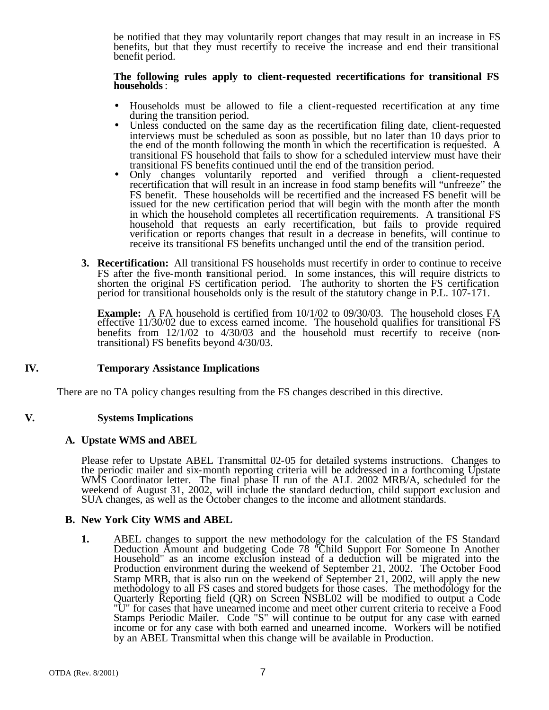be notified that they may voluntarily report changes that may result in an increase in FS benefits, but that they must recertify to receive the increase and end their transitional benefit period.

#### **The following rules apply to client-requested recertifications for transitional FS households**:

- Households must be allowed to file a client-requested recertification at any time during the transition period.
- Unless conducted on the same day as the recertification filing date, client-requested interviews must be scheduled as soon as possible, but no later than 10 days prior to the end of the month following the month in which the recertification is requested. A transitional FS household that fails to show for a scheduled interview must have their transitional FS benefits continued until the end of the transition period.
- Only changes voluntarily reported and verified through a client-requested recertification that will result in an increase in food stamp benefits will "unfreeze" the FS benefit. These households will be recertified and the increased FS benefit will be issued for the new certification period that will begin with the month after the month in which the household completes all recertification requirements. A transitional FS household that requests an early recertification, but fails to provide required verification or reports changes that result in a decrease in benefits, will continue to receive its transitional FS benefits unchanged until the end of the transition period.
- **3. Recertification:** All transitional FS households must recertify in order to continue to receive FS after the five-month transitional period. In some instances, this will require districts to shorten the original FS certification period. The authority to shorten the FS certification period for transitional households only is the result of the statutory change in P.L. 107-171.

**Example:** A FA household is certified from 10/1/02 to 09/30/03. The household closes FA effective 11/30/02 due to excess earned income. The household qualifies for transitional FS benefits from 12/1/02 to 4/30/03 and the household must recertify to receive (nontransitional) FS benefits beyond 4/30/03.

# **IV. Temporary Assistance Implications**

There are no TA policy changes resulting from the FS changes described in this directive.

### **V. Systems Implications**

### **A. Upstate WMS and ABEL**

Please refer to Upstate ABEL Transmittal 02-05 for detailed systems instructions. Changes to the periodic mailer and six-month reporting criteria will be addressed in a forthcoming Upstate WMS Coordinator letter. The final phase II run of the ALL 2002 MRB/A, scheduled for the weekend of August 31, 2002, will include the standard deduction, child support exclusion and SUA changes, as well as the October changes to the income and allotment standards.

### **B. New York City WMS and ABEL**

**1.** ABEL changes to support the new methodology for the calculation of the FS Standard Deduction Amount and budgeting Code 78 "Child Support For Someone In Another Household" as an income exclusion instead of a deduction will be migrated into the Production environment during the weekend of September 21, 2002. The October Food Stamp MRB, that is also run on the weekend of September 21, 2002, will apply the new methodology to all FS cases and stored budgets for those cases. The methodology for the Quarterly Reporting field (QR) on Screen NSBL02 will be modified to output a Code "U" for cases that have unearned income and meet other current criteria to receive a Food Stamps Periodic Mailer. Code "S" will continue to be output for any case with earned income or for any case with both earned and unearned income. Workers will be notified by an ABEL Transmittal when this change will be available in Production.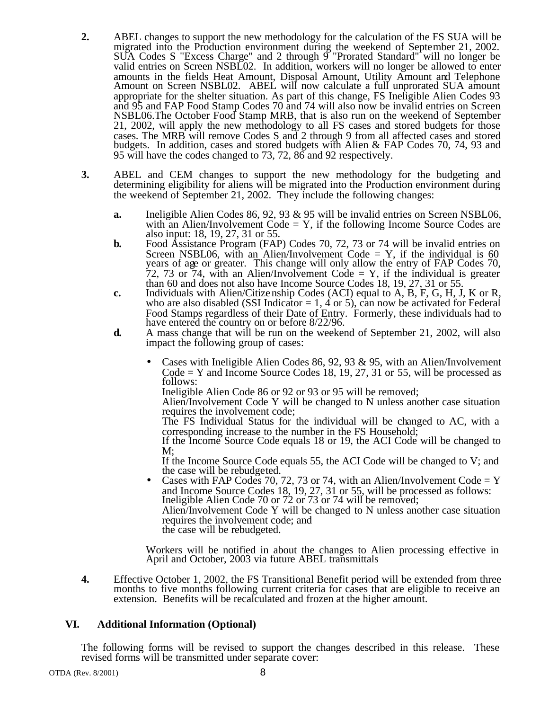- **2.** ABEL changes to support the new methodology for the calculation of the FS SUA will be migrated into the Production environment during the weekend of September 21, 2002. SUA Codes S "Excess Charge" and 2 through 9 "Prorated Standard" will no longer be valid entries on Screen NSBL02. In addition, workers will no longer be allowed to enter amounts in the fields Heat Amount, Disposal Amount, Utility Amount and Telephone Amount on Screen NSBL02. ABEL will now calculate a full unprorated SUA amount appropriate for the shelter situation. As part of this change, FS Ineligible Alien Codes 93 and 95 and FAP Food Stamp Codes 70 and 74 will also now be invalid entries on Screen NSBL06.The October Food Stamp MRB, that is also run on the weekend of September 21, 2002, will apply the new methodology to all FS cases and stored budgets for those cases. The MRB will remove Codes S and 2 through 9 from all affected cases and stored budgets. In addition, cases and stored budgets with Alien & FAP Codes 70, 74, 93 and 95 will have the codes changed to 73, 72, 86 and 92 respectively.
- **3.** ABEL and CEM changes to support the new methodology for the budgeting and determining eligibility for aliens will be migrated into the Production environment during the weekend of September 21, 2002. They include the following changes:
	- **a.** Ineligible Alien Codes 86, 92, 93 & 95 will be invalid entries on Screen NSBL06, with an Alien/Involvement  $Code = Y$ , if the following Income Source Codes are also input: 18, 19, 27, 31 or 55.
	- **b.** Food Assistance Program (FAP) Codes 70, 72, 73 or 74 will be invalid entries on Screen NSBL06, with an Alien/Involvement Code = Y, if the individual is 60 years of age or greater. This change will only allow the entry of FAP Codes 70, 72, 73 or 74, with an Alien/Involvement Code  $=$  Y, if the individual is greater than 60 and does not also have Income Source Codes 18, 19, 27, 31 or 55.
	- **c.** Individuals with Alien/Citizenship Codes (ACI) equal to A, B, F, G, H, J, K or R, who are also disabled (SSI Indicator  $= 1, 4$  or 5), can now be activated for Federal Food Stamps regardless of their Date of Entry. Formerly, these individuals had to have entered the country on or before 8/22/96.
	- **d.** A mass change that will be run on the weekend of September 21, 2002, will also impact the following group of cases:
		- Cases with Ineligible Alien Codes 86, 92, 93  $\&$  95, with an Alien/Involvement Code = Y and Income Source Codes 18, 19, 27, 31 or 55, will be processed as follows:

Ineligible Alien Code 86 or 92 or 93 or 95 will be removed;

Alien/Involvement Code Y will be changed to N unless another case situation requires the involvement code;

The FS Individual Status for the individual will be changed to AC, with a corresponding increase to the number in the FS Household;

If the Income Source Code equals 18 or 19, the ACI Code will be changed to M;

If the Income Source Code equals 55, the ACI Code will be changed to V; and the case will be rebudgeted.

Cases with FAP Codes 70, 72, 73 or 74, with an Alien/Involvement Code = Y and Income Source Codes 18, 19, 27, 31 or 55, will be processed as follows: Ineligible Alien Code 70 or 72 or 73 or 74 will be removed; Alien/Involvement Code Y will be changed to N unless another case situation requires the involvement code; and

the case will be rebudgeted.

Workers will be notified in about the changes to Alien processing effective in April and October, 2003 via future ABEL transmittals

**4.** Effective October 1, 2002, the FS Transitional Benefit period will be extended from three months to five months following current criteria for cases that are eligible to receive an extension. Benefits will be recalculated and frozen at the higher amount.

# **VI. Additional Information (Optional)**

The following forms will be revised to support the changes described in this release. These revised forms will be transmitted under separate cover: